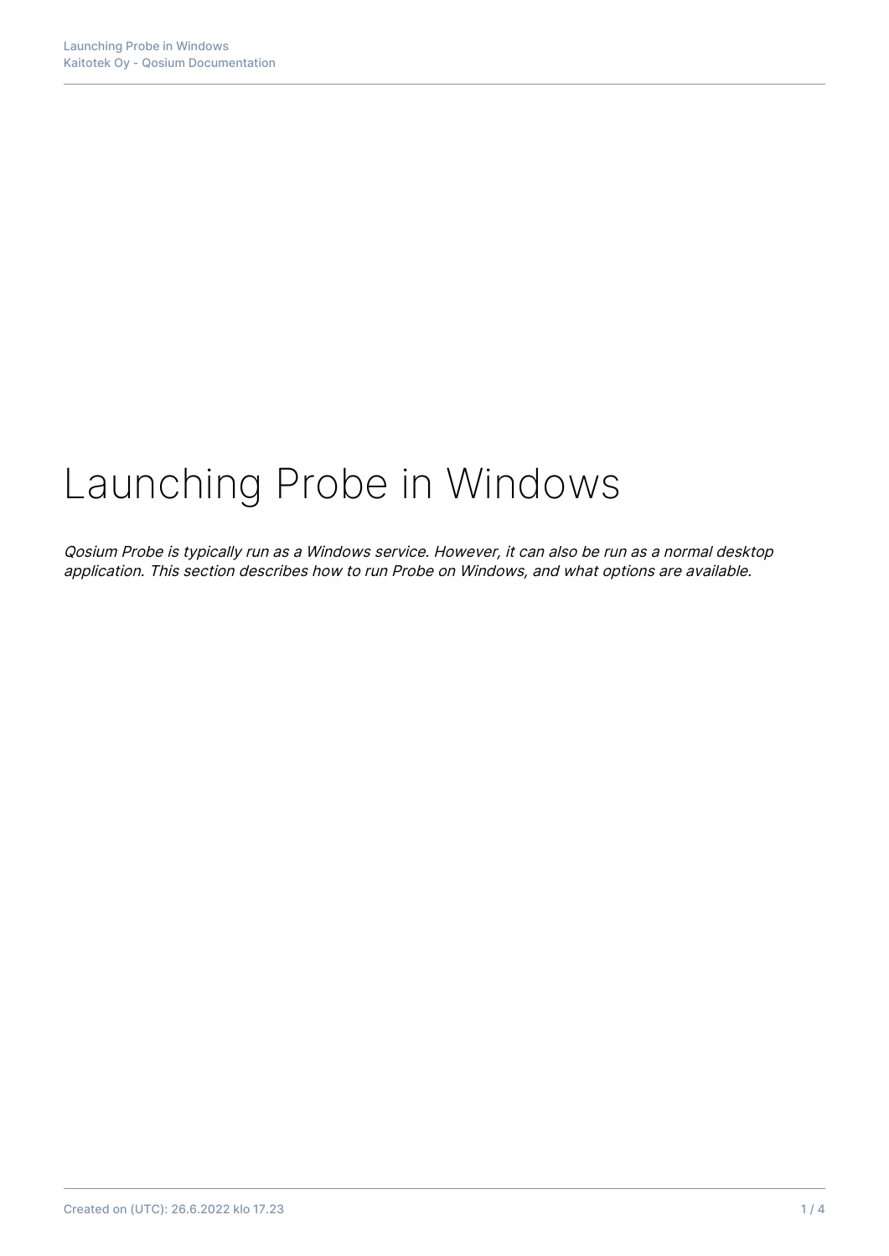# Launching Probe in Windows

Qosium Probe is typically run as a Windows service. However, it can also be run as a normal desktop application. This section describes how to run Probe on Windows, and what options are available.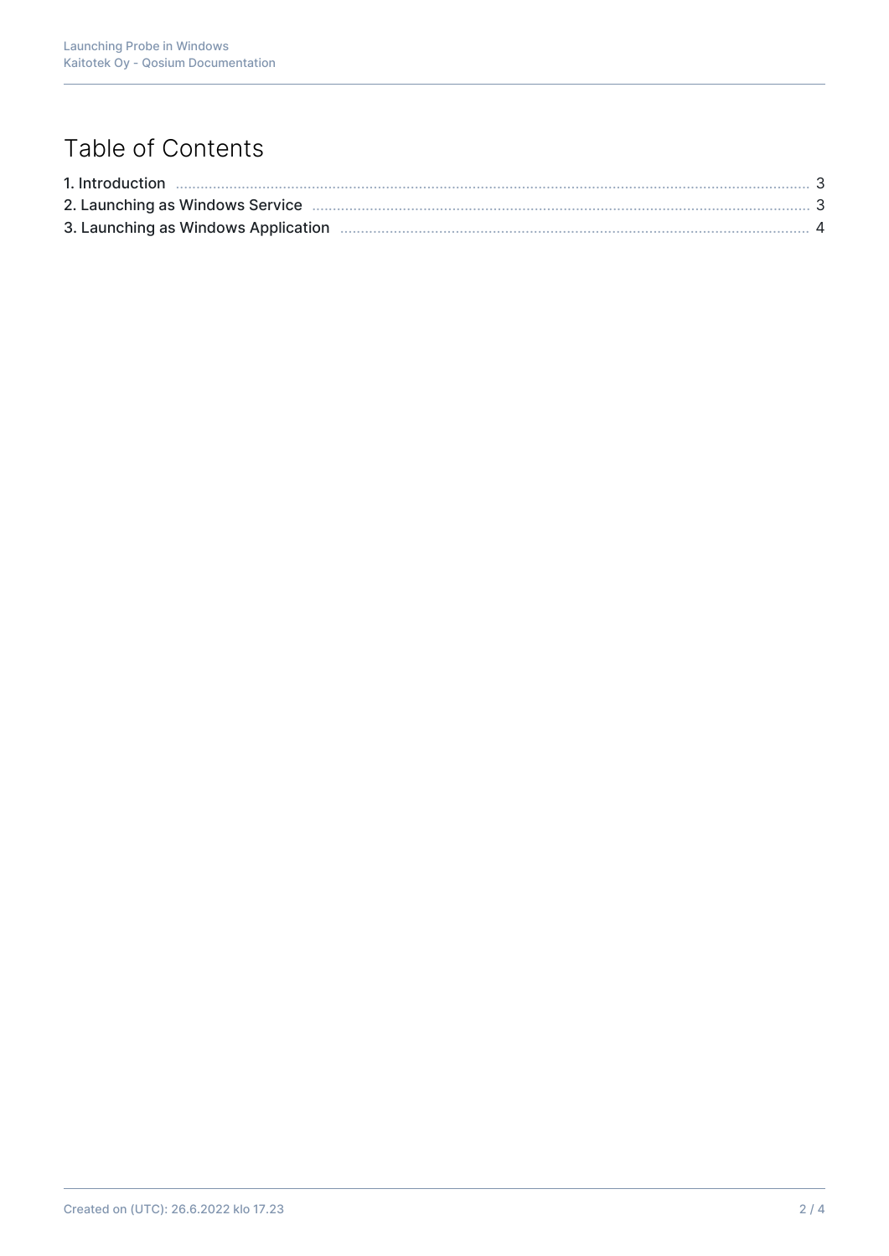# Table of Contents

| 2. Launching as Windows Service <b>much manufacture and the contract of the Strate</b> 3 |  |
|------------------------------------------------------------------------------------------|--|
|                                                                                          |  |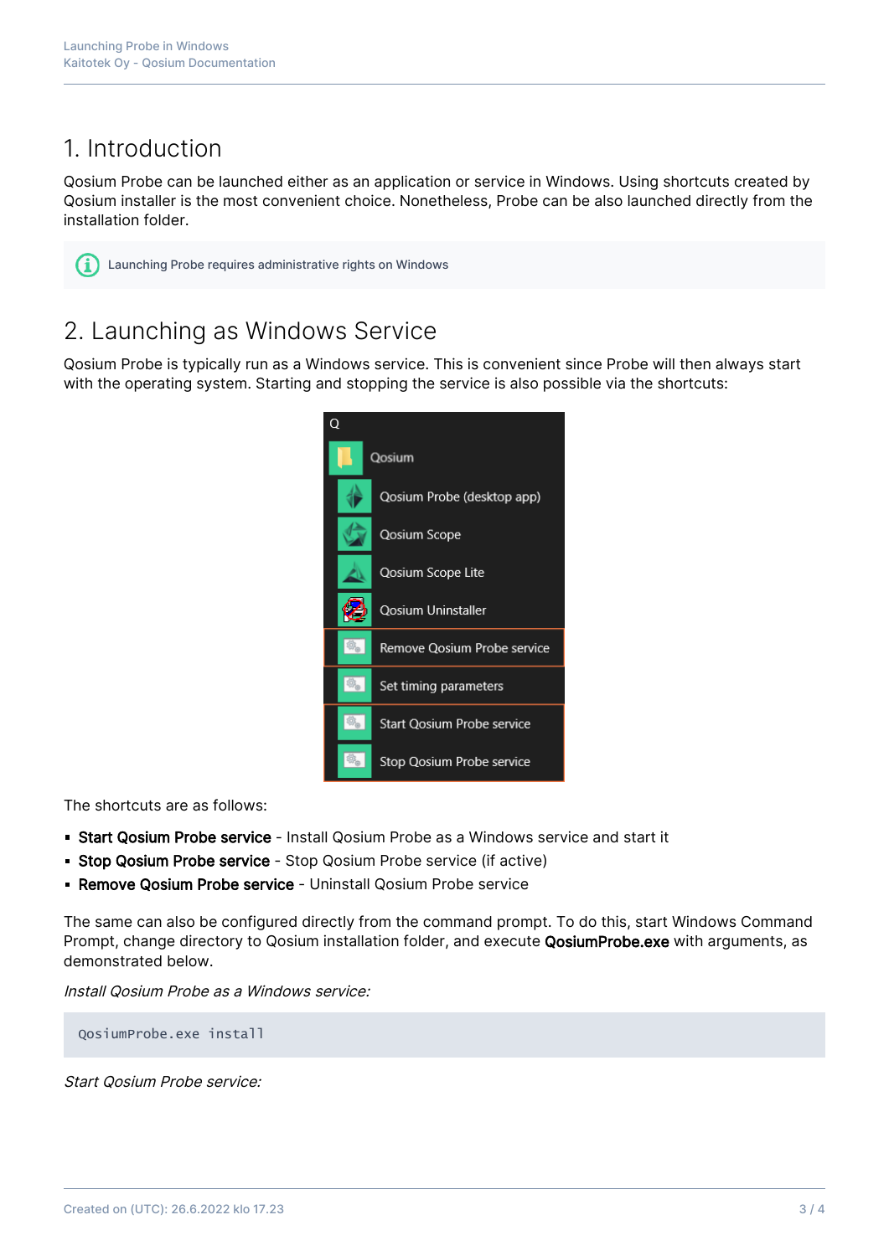## 1. Introduction

Qosium Probe can be launched either as an application or service in Windows. Using shortcuts created by Qosium installer is the most convenient choice. Nonetheless, Probe can be also launched directly from the installation folder.

Launching Probe requires administrative rights on Windows

### 2. Launching as Windows Service

Qosium Probe is typically run as a Windows service. This is convenient since Probe will then always start with the operating system. Starting and stopping the service is also possible via the shortcuts:



The shortcuts are as follows:

- **Start Qosium Probe service** Install Qosium Probe as a Windows service and start it
- **Stop Qosium Probe service** Stop Qosium Probe service (if active)
- **Remove Qosium Probe service** Uninstall Qosium Probe service

The same can also be configured directly from the command prompt. To do this, start Windows Command Prompt, change directory to Qosium installation folder, and execute QosiumProbe.exe with arguments, as demonstrated below.

Install Qosium Probe as a Windows service:

QosiumProbe.exe install

Start Qosium Probe service: